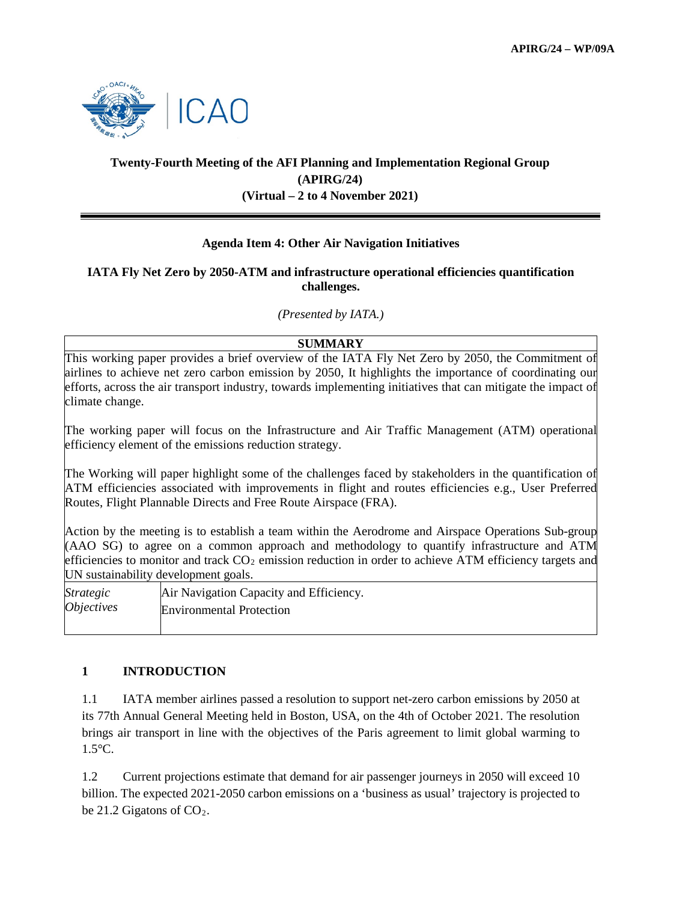

# **Twenty-Fourth Meeting of the AFI Planning and Implementation Regional Group (APIRG/24) (Virtual – 2 to 4 November 2021)**

# **Agenda Item 4: Other Air Navigation Initiatives**

#### **IATA Fly Net Zero by 2050-ATM and infrastructure operational efficiencies quantification challenges.**

*(Presented by IATA.)*

# **SUMMARY**

This working paper provides a brief overview of the IATA Fly Net Zero by 2050, the Commitment of airlines to achieve net zero carbon emission by 2050, It highlights the importance of coordinating our efforts, across the air transport industry, towards implementing initiatives that can mitigate the impact of climate change.

The working paper will focus on the Infrastructure and Air Traffic Management (ATM) operational efficiency element of the emissions reduction strategy.

The Working will paper highlight some of the challenges faced by stakeholders in the quantification of ATM efficiencies associated with improvements in flight and routes efficiencies e.g., User Preferred Routes, Flight Plannable Directs and Free Route Airspace (FRA).

Action by the meeting is to establish a team within the Aerodrome and Airspace Operations Sub-group (AAO SG) to agree on a common approach and methodology to quantify infrastructure and ATM efficiencies to monitor and track  $CO<sub>2</sub>$  emission reduction in order to achieve ATM efficiency targets and UN sustainability development goals.

| <i>Strategic</i>         | Air Navigation Capacity and Efficiency. |
|--------------------------|-----------------------------------------|
| <i><b>Objectives</b></i> | <b>Environmental Protection</b>         |

# **1 INTRODUCTION**

1.1 IATA member airlines passed a resolution to support net-zero carbon emissions by 2050 at its 77th Annual General Meeting held in Boston, USA, on the 4th of October 2021. The resolution brings air transport in line with the objectives of the Paris agreement to limit global warming to 1.5°C.

1.2 Current projections estimate that demand for air passenger journeys in 2050 will exceed 10 billion. The expected 2021-2050 carbon emissions on a 'business as usual' trajectory is projected to be 21.2 Gigatons of  $CO<sub>2</sub>$ .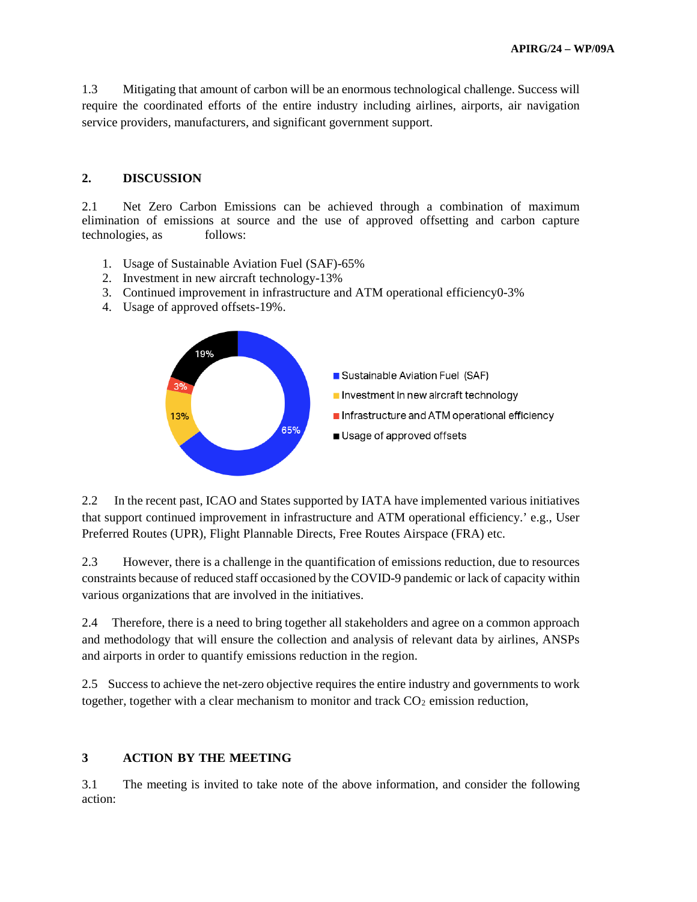1.3 Mitigating that amount of carbon will be an enormous technological challenge. Success will require the coordinated efforts of the entire industry including airlines, airports, air navigation service providers, manufacturers, and significant government support.

#### **2. DISCUSSION**

2.1 Net Zero Carbon Emissions can be achieved through a combination of maximum elimination of emissions at source and the use of approved offsetting and carbon capture technologies, as follows:

- 1. Usage of Sustainable Aviation Fuel (SAF)-65%
- 2. Investment in new aircraft technology-13%
- 3. Continued improvement in infrastructure and ATM operational efficiency0-3%
- 4. Usage of approved offsets-19%.



2.2 In the recent past, ICAO and States supported by IATA have implemented various initiatives that support continued improvement in infrastructure and ATM operational efficiency.' e.g., User Preferred Routes (UPR), Flight Plannable Directs, Free Routes Airspace (FRA) etc.

2.3 However, there is a challenge in the quantification of emissions reduction, due to resources constraints because of reduced staff occasioned by the COVID-9 pandemic or lack of capacity within various organizations that are involved in the initiatives.

2.4 Therefore, there is a need to bring together all stakeholders and agree on a common approach and methodology that will ensure the collection and analysis of relevant data by airlines, ANSPs and airports in order to quantify emissions reduction in the region.

2.5 Success to achieve the net-zero objective requires the entire industry and governments to work together, together with a clear mechanism to monitor and track  $CO<sub>2</sub>$  emission reduction,

#### **3 ACTION BY THE MEETING**

3.1 The meeting is invited to take note of the above information, and consider the following action: